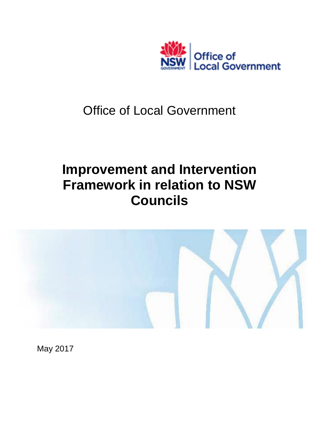

## Office of Local Government

## **Improvement and Intervention Framework in relation to NSW Councils**



May 2017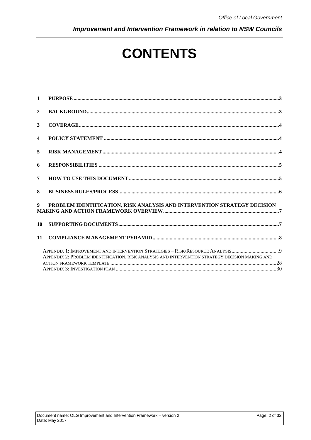Improvement and Intervention Framework in relation to NSW Councils

# **CONTENTS**

| $\mathbf{1}$            |                                                                                                                                                                                  |  |
|-------------------------|----------------------------------------------------------------------------------------------------------------------------------------------------------------------------------|--|
| $\mathbf{2}$            |                                                                                                                                                                                  |  |
| 3                       |                                                                                                                                                                                  |  |
| $\overline{\mathbf{4}}$ |                                                                                                                                                                                  |  |
| 5                       |                                                                                                                                                                                  |  |
| 6                       |                                                                                                                                                                                  |  |
| 7                       |                                                                                                                                                                                  |  |
| 8                       |                                                                                                                                                                                  |  |
|                         |                                                                                                                                                                                  |  |
| 10                      |                                                                                                                                                                                  |  |
| 11                      |                                                                                                                                                                                  |  |
|                         | APPENDIX 1: IMPROVEMENT AND INTERVENTION STRATEGIES - RISK/RESOURCE ANALYSIS9<br>APPENDIX 2: PROBLEM IDENTIFICATION, RISK ANALYSIS AND INTERVENTION STRATEGY DECISION MAKING AND |  |
|                         |                                                                                                                                                                                  |  |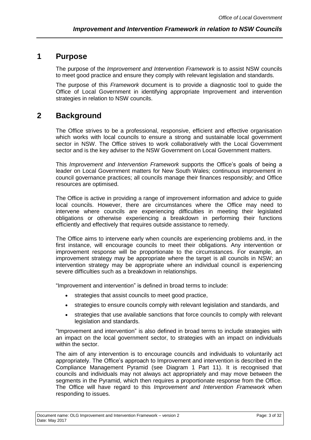## <span id="page-2-0"></span>**1 Purpose**

The purpose of the *Improvement and Intervention Framework* is to assist NSW councils to meet good practice and ensure they comply with relevant legislation and standards.

The purpose of this *Framework* document is to provide a diagnostic tool to guide the Office of Local Government in identifying appropriate Improvement and intervention strategies in relation to NSW councils.

## <span id="page-2-1"></span>**2 Background**

The Office strives to be a professional, responsive, efficient and effective organisation which works with local councils to ensure a strong and sustainable local government sector in NSW. The Office strives to work collaboratively with the Local Government sector and is the key adviser to the NSW Government on Local Government matters.

This *Improvement and Intervention Framework* supports the Office's goals of being a leader on Local Government matters for New South Wales; continuous improvement in council governance practices; all councils manage their finances responsibly; and Office resources are optimised.

The Office is active in providing a range of improvement information and advice to guide local councils. However, there are circumstances where the Office may need to intervene where councils are experiencing difficulties in meeting their legislated obligations or otherwise experiencing a breakdown in performing their functions efficiently and effectively that requires outside assistance to remedy.

The Office aims to intervene early when councils are experiencing problems and, in the first instance, will encourage councils to meet their obligations. Any intervention or improvement response will be proportionate to the circumstances. For example, an improvement strategy may be appropriate where the target is all councils in NSW; an intervention strategy may be appropriate where an individual council is experiencing severe difficulties such as a breakdown in relationships.

"Improvement and intervention" is defined in broad terms to include:

- strategies that assist councils to meet good practice,
- strategies to ensure councils comply with relevant legislation and standards, and
- strategies that use available sanctions that force councils to comply with relevant legislation and standards.

"Improvement and intervention" is also defined in broad terms to include strategies with an impact on the local government sector, to strategies with an impact on individuals within the sector.

The aim of any intervention is to encourage councils and individuals to voluntarily act appropriately. The Office's approach to Improvement and intervention is described in the Compliance Management Pyramid (see Diagram 1 Part 11). It is recognised that councils and individuals may not always act appropriately and may move between the segments in the Pyramid, which then requires a proportionate response from the Office. The Office will have regard to this *Improvement and Intervention Framework* when responding to issues.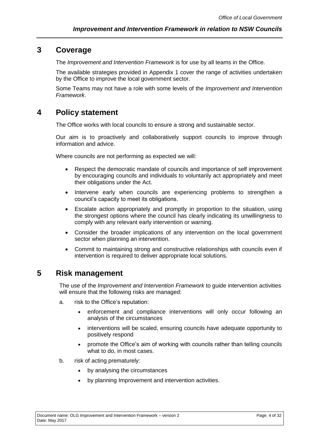## <span id="page-3-0"></span>**3 Coverage**

The *Improvement and Intervention Framework* is for use by all teams in the Office.

The available strategies provided in Appendix 1 cover the range of activities undertaken by the Office to improve the local government sector.

Some Teams may not have a role with some levels of the *Improvement and Intervention Framework*.

## <span id="page-3-1"></span>**4 Policy statement**

The Office works with local councils to ensure a strong and sustainable sector.

Our aim is to proactively and collaboratively support councils to improve through information and advice.

Where councils are not performing as expected we will:

- Respect the democratic mandate of councils and importance of self improvement by encouraging councils and individuals to voluntarily act appropriately and meet their obligations under the Act.
- Intervene early when councils are experiencing problems to strengthen a council's capacity to meet its obligations.
- Escalate action appropriately and promptly in proportion to the situation, using the strongest options where the council has clearly indicating its unwillingness to comply with any relevant early intervention or warning.
- Consider the broader implications of any intervention on the local government sector when planning an intervention.
- Commit to maintaining strong and constructive relationships with councils even if intervention is required to deliver appropriate local solutions.

## <span id="page-3-2"></span>**5 Risk management**

The use of the *Improvement and Intervention Framework* to guide intervention activities will ensure that the following risks are managed:

- a. risk to the Office's reputation:
	- enforcement and compliance interventions will only occur following an analysis of the circumstances
	- interventions will be scaled, ensuring councils have adequate opportunity to positively respond
	- promote the Office's aim of working with councils rather than telling councils what to do, in most cases.
- b. risk of acting prematurely:
	- by analysing the circumstances
	- by planning Improvement and intervention activities.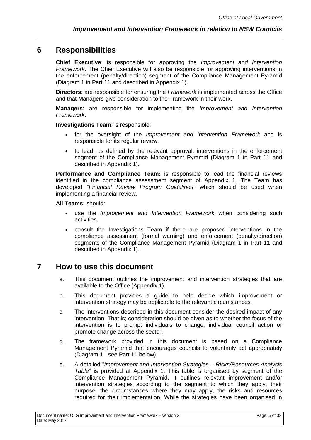## <span id="page-4-0"></span>**6 Responsibilities**

**Chief Executive**: is responsible for approving the *Improvement and Intervention Framework*. The Chief Executive will also be responsible for approving interventions in the enforcement (penalty/direction) segment of the Compliance Management Pyramid (Diagram 1 in Part 11 and described in Appendix 1).

**Directors**: are responsible for ensuring the *Framework* is implemented across the Office and that Managers give consideration to the Framework in their work.

**Managers**: are responsible for implementing the *Improvement and Intervention Framework*.

**Investigations Team**: is responsible:

- for the oversight of the *Improvement and Intervention Framework* and is responsible for its regular review.
- to lead, as defined by the relevant approval, interventions in the enforcement segment of the Compliance Management Pyramid (Diagram 1 in Part 11 and described in Appendix 1).

**Performance and Compliance Team:** is responsible to lead the financial reviews identified in the compliance assessment segment of Appendix 1. The Team has developed "*Financial Review Program Guidelines*" which should be used when implementing a financial review.

**All Teams:** should:

- use the *Improvement and Intervention Framework* when considering such activities.
- consult the Investigations Team if there are proposed interventions in the compliance assessment (formal warning) and enforcement (penalty/direction) segments of the Compliance Management Pyramid (Diagram 1 in Part 11 and described in Appendix 1).

## <span id="page-4-1"></span>**7 How to use this document**

- a. This document outlines the improvement and intervention strategies that are available to the Office (Appendix 1).
- b. This document provides a guide to help decide which improvement or intervention strategy may be applicable to the relevant circumstances.
- c. The interventions described in this document consider the desired impact of any intervention. That is; consideration should be given as to whether the focus of the intervention is to prompt individuals to change, individual council action or promote change across the sector.
- d. The framework provided in this document is based on a Compliance Management Pyramid that encourages councils to voluntarily act appropriately (Diagram 1 - see Part 11 below).
- e. A detailed "*Improvement and Intervention Strategies – Risks/Resources Analysis Table*" is provided at Appendix 1. This table is organised by segment of the Compliance Management Pyramid. It outlines relevant improvement and/or intervention strategies according to the segment to which they apply, their purpose, the circumstances where they may apply, the risks and resources required for their implementation. While the strategies have been organised in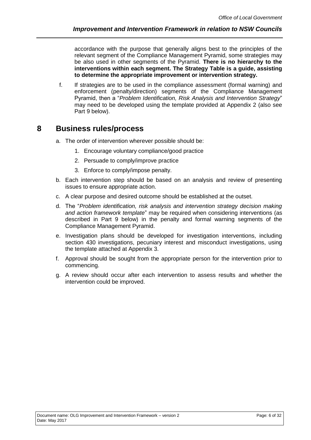accordance with the purpose that generally aligns best to the principles of the relevant segment of the Compliance Management Pyramid, some strategies may be also used in other segments of the Pyramid. **There is no hierarchy to the interventions within each segment. The Strategy Table is a guide, assisting to determine the appropriate improvement or intervention strategy.**

f. If strategies are to be used in the compliance assessment (formal warning) and enforcement (penalty/direction) segments of the Compliance Management Pyramid, then a "*Problem Identification, Risk Analysis and Intervention Strategy*" may need to be developed using the template provided at Appendix 2 (also see Part 9 below).

## <span id="page-5-0"></span>**8 Business rules/process**

- a. The order of intervention wherever possible should be:
	- 1. Encourage voluntary compliance/good practice
	- 2. Persuade to comply/improve practice
	- 3. Enforce to comply/impose penalty.
- b. Each intervention step should be based on an analysis and review of presenting issues to ensure appropriate action.
- c. A clear purpose and desired outcome should be established at the outset.
- d. The "*Problem identification, risk analysis and intervention strategy decision making and action framework template*" may be required when considering interventions (as described in Part 9 below) in the penalty and formal warning segments of the Compliance Management Pyramid.
- e. Investigation plans should be developed for investigation interventions, including section 430 investigations, pecuniary interest and misconduct investigations, using the template attached at Appendix 3.
- f. Approval should be sought from the appropriate person for the intervention prior to commencing.
- g. A review should occur after each intervention to assess results and whether the intervention could be improved.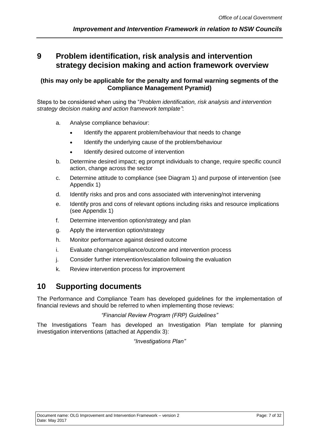## <span id="page-6-0"></span>**9 Problem identification, risk analysis and intervention strategy decision making and action framework overview**

#### **(this may only be applicable for the penalty and formal warning segments of the Compliance Management Pyramid)**

Steps to be considered when using the "*Problem identification, risk analysis and intervention strategy decision making and action framework template"*:

- a. Analyse compliance behaviour:
	- Identify the apparent problem/behaviour that needs to change
	- Identify the underlying cause of the problem/behaviour
	- Identify desired outcome of intervention
- b. Determine desired impact; eg prompt individuals to change, require specific council action, change across the sector
- c. Determine attitude to compliance (see Diagram 1) and purpose of intervention (see Appendix 1)
- d. Identify risks and pros and cons associated with intervening/not intervening
- e. Identify pros and cons of relevant options including risks and resource implications (see Appendix 1)
- f. Determine intervention option/strategy and plan
- g. Apply the intervention option/strategy
- h. Monitor performance against desired outcome
- i. Evaluate change/compliance/outcome and intervention process
- j. Consider further intervention/escalation following the evaluation
- k. Review intervention process for improvement

## <span id="page-6-1"></span>**10 Supporting documents**

The Performance and Compliance Team has developed guidelines for the implementation of financial reviews and should be referred to when implementing those reviews:

#### *"Financial Review Program (FRP) Guidelines"*

The Investigations Team has developed an Investigation Plan template for planning investigation interventions (attached at Appendix 3):

*"Investigations Plan"*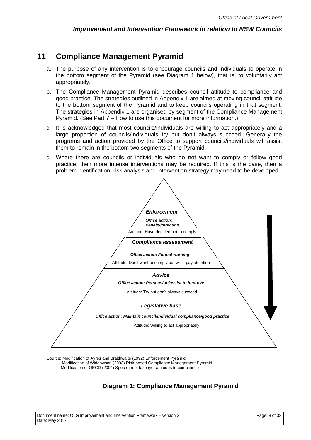### <span id="page-7-0"></span>**11 Compliance Management Pyramid**

- a. The purpose of any intervention is to encourage councils and individuals to operate in the bottom segment of the Pyramid (see Diagram 1 below), that is, to voluntarily act appropriately.
- b. The Compliance Management Pyramid describes council attitude to compliance and good practice. The strategies outlined in Appendix 1 are aimed at moving council attitude to the bottom segment of the Pyramid and to keep councils operating in that segment. The strategies in Appendix 1 are organised by segment of the Compliance Management Pyramid. (See Part 7 – How to use this document for more information.)
- c. It is acknowledged that most councils/individuals are willing to act appropriately and a large proportion of councils/individuals try but don't always succeed. Generally the programs and action provided by the Office to support councils/individuals will assist them to remain in the bottom two segments of the Pyramid.
- d. Where there are councils or individuals who do not want to comply or follow good practice, then more intense interventions may be required. If this is the case, then a problem identification, risk analysis and intervention strategy may need to be developed.



Source: Modification of Ayres and Braithwaite (1992) Enforcement Pyramid Modification of Widdowson (2003) Risk-based Compliance Management Pyramid Modification of OECD (2004) Spectrum of taxpayer attitudes to compliance

#### **Diagram 1: Compliance Management Pyramid**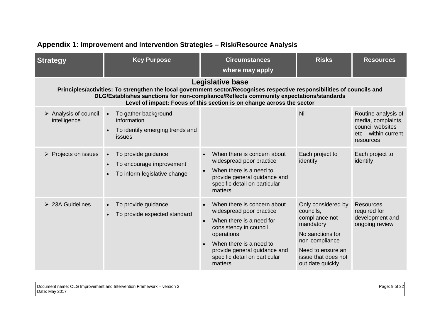<span id="page-8-0"></span>

| <b>Strategy</b>                     | <b>Key Purpose</b>                                                                            | <b>Circumstances</b><br>where may apply                                                                                                                                                                                                                                                                               | <b>Risks</b>                                                                                                                                                         | <b>Resources</b>                                                                                   |
|-------------------------------------|-----------------------------------------------------------------------------------------------|-----------------------------------------------------------------------------------------------------------------------------------------------------------------------------------------------------------------------------------------------------------------------------------------------------------------------|----------------------------------------------------------------------------------------------------------------------------------------------------------------------|----------------------------------------------------------------------------------------------------|
|                                     |                                                                                               | <b>Legislative base</b><br>Principles/activities: To strengthen the local government sector/Recognises respective responsibilities of councils and<br>DLG/Establishes sanctions for non-compliance/Reflects community expectations/standards<br>Level of impact: Focus of this section is on change across the sector |                                                                                                                                                                      |                                                                                                    |
| Analysis of council<br>intelligence | To gather background<br>$\bullet$<br>information<br>To identify emerging trends and<br>issues |                                                                                                                                                                                                                                                                                                                       | Nil                                                                                                                                                                  | Routine analysis of<br>media, complaints,<br>council websites<br>etc - within current<br>resources |
| $\triangleright$ Projects on issues | To provide guidance<br>$\bullet$<br>To encourage improvement<br>To inform legislative change  | When there is concern about<br>widespread poor practice<br>When there is a need to<br>$\bullet$<br>provide general guidance and<br>specific detail on particular<br>matters                                                                                                                                           | Each project to<br>identify                                                                                                                                          | Each project to<br>identify                                                                        |
| $\geq$ 23A Guidelines               | To provide guidance<br>To provide expected standard                                           | When there is concern about<br>widespread poor practice<br>When there is a need for<br>$\bullet$<br>consistency in council<br>operations<br>When there is a need to<br>provide general guidance and<br>specific detail on particular<br>matters                                                                       | Only considered by<br>councils,<br>compliance not<br>mandatory<br>No sanctions for<br>non-compliance<br>Need to ensure an<br>issue that does not<br>out date quickly | <b>Resources</b><br>required for<br>development and<br>ongoing review                              |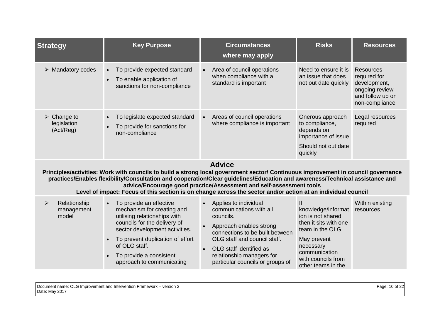| <b>Strategy</b>                            | <b>Key Purpose</b>                                                                                                                                                                                                                                                                                                                                                                | <b>Circumstances</b><br>where may apply                                                                                                                                                                                                                                           | <b>Risks</b>                                                                                                                                                                        | <b>Resources</b>                                                                                  |
|--------------------------------------------|-----------------------------------------------------------------------------------------------------------------------------------------------------------------------------------------------------------------------------------------------------------------------------------------------------------------------------------------------------------------------------------|-----------------------------------------------------------------------------------------------------------------------------------------------------------------------------------------------------------------------------------------------------------------------------------|-------------------------------------------------------------------------------------------------------------------------------------------------------------------------------------|---------------------------------------------------------------------------------------------------|
| <b>Mandatory codes</b><br>➤                | To provide expected standard<br>$\bullet$<br>To enable application of<br>$\bullet$<br>sanctions for non-compliance                                                                                                                                                                                                                                                                | Area of council operations<br>when compliance with a<br>standard is important                                                                                                                                                                                                     | Need to ensure it is<br>an issue that does<br>not out date quickly                                                                                                                  | Resources<br>required for<br>development,<br>ongoing review<br>and follow up on<br>non-compliance |
| Change to<br>➤<br>legislation<br>(Act/Reg) | To legislate expected standard<br>To provide for sanctions for<br>$\bullet$<br>non-compliance                                                                                                                                                                                                                                                                                     | Areas of council operations<br>$\bullet$<br>where compliance is important                                                                                                                                                                                                         | Onerous approach<br>to compliance,<br>depends on<br>importance of issue<br>Should not out date<br>quickly                                                                           | Legal resources<br>required                                                                       |
|                                            | Principles/activities: Work with councils to build a strong local government sector/ Continuous improvement in council governance<br>practices/Enables flexibility/Consultation and cooperation/Clear guidelines/Education and awareness/Technical assistance and<br>Level of impact: Focus of this section is on change across the sector and/or action at an individual council | <b>Advice</b><br>advice/Encourage good practice/Assessment and self-assessment tools                                                                                                                                                                                              |                                                                                                                                                                                     |                                                                                                   |
| Relationship<br>➤<br>management<br>model   | To provide an effective<br>$\bullet$<br>mechanism for creating and<br>utilising relationships with<br>councils for the delivery of<br>sector development activities.<br>To prevent duplication of effort<br>of OLG staff.<br>To provide a consistent<br>$\bullet$<br>approach to communicating                                                                                    | Applies to individual<br>$\bullet$<br>communications with all<br>councils.<br>Approach enables strong<br>connections to be built between<br>OLG staff and council staff.<br>OLG staff identified as<br>$\bullet$<br>relationship managers for<br>particular councils or groups of | Ιf<br>knowledge/informat<br>ion is not shared<br>then it sits with one<br>team in the OLG.<br>May prevent<br>necessary<br>communication<br>with councils from<br>other teams in the | Within existing<br>resources                                                                      |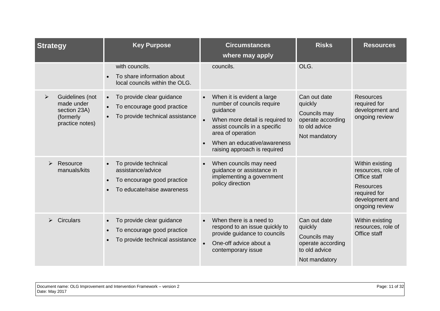| <b>Strategy</b>       |                                                                                | <b>Key Purpose</b>                                                                                                   | <b>Circumstances</b><br>where may apply                                                                                                                                                                                      | <b>Risks</b>                                                                                   | <b>Resources</b>                                                                                                               |
|-----------------------|--------------------------------------------------------------------------------|----------------------------------------------------------------------------------------------------------------------|------------------------------------------------------------------------------------------------------------------------------------------------------------------------------------------------------------------------------|------------------------------------------------------------------------------------------------|--------------------------------------------------------------------------------------------------------------------------------|
|                       |                                                                                | with councils.<br>To share information about<br>local councils within the OLG.                                       | councils.                                                                                                                                                                                                                    | OLG.                                                                                           |                                                                                                                                |
| $\blacktriangleright$ | Guidelines (not<br>made under<br>section 23A)<br>(formerly)<br>practice notes) | To provide clear guidance<br>$\bullet$<br>To encourage good practice<br>$\bullet$<br>To provide technical assistance | When it is evident a large<br>number of councils require<br>guidance<br>When more detail is required to<br>assist councils in a specific<br>area of operation<br>When an educative/awareness<br>raising approach is required | Can out date<br>quickly<br>Councils may<br>operate according<br>to old advice<br>Not mandatory | <b>Resources</b><br>required for<br>development and<br>ongoing review                                                          |
|                       | Resource<br>manuals/kits                                                       | To provide technical<br>assistance/advice<br>To encourage good practice<br>To educate/raise awareness                | When councils may need<br>quidance or assistance in<br>implementing a government<br>policy direction                                                                                                                         |                                                                                                | Within existing<br>resources, role of<br>Office staff<br><b>Resources</b><br>required for<br>development and<br>ongoing review |
|                       | <b>Circulars</b><br>$\bullet$                                                  | To provide clear guidance<br>To encourage good practice<br>To provide technical assistance                           | When there is a need to<br>respond to an issue quickly to<br>provide guidance to councils<br>One-off advice about a<br>$\bullet$<br>contemporary issue                                                                       | Can out date<br>quickly<br>Councils may<br>operate according<br>to old advice<br>Not mandatory | Within existing<br>resources, role of<br>Office staff                                                                          |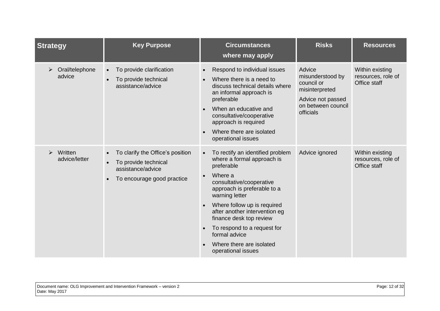| <b>Strategy</b>                                   | <b>Key Purpose</b>                                                                                                       | <b>Circumstances</b><br>where may apply                                                                                                                                                                                                                                                                                                                           | <b>Risks</b>                                                                                                       | <b>Resources</b>                                      |
|---------------------------------------------------|--------------------------------------------------------------------------------------------------------------------------|-------------------------------------------------------------------------------------------------------------------------------------------------------------------------------------------------------------------------------------------------------------------------------------------------------------------------------------------------------------------|--------------------------------------------------------------------------------------------------------------------|-------------------------------------------------------|
| Oral/telephone<br>advice                          | To provide clarification<br>To provide technical<br>assistance/advice                                                    | Respond to individual issues<br>Where there is a need to<br>discuss technical details where<br>an informal approach is<br>preferable<br>When an educative and<br>consultative/cooperative<br>approach is required<br>Where there are isolated<br>operational issues                                                                                               | Advice<br>misunderstood by<br>council or<br>misinterpreted<br>Advice not passed<br>on between council<br>officials | Within existing<br>resources, role of<br>Office staff |
| Written<br>$\blacktriangleright$<br>advice/letter | To clarify the Office's position<br>$\bullet$<br>To provide technical<br>assistance/advice<br>To encourage good practice | To rectify an identified problem<br>where a formal approach is<br>preferable<br>Where a<br>consultative/cooperative<br>approach is preferable to a<br>warning letter<br>Where follow up is required<br>after another intervention eg<br>finance desk top review<br>To respond to a request for<br>formal advice<br>Where there are isolated<br>operational issues | Advice ignored                                                                                                     | Within existing<br>resources, role of<br>Office staff |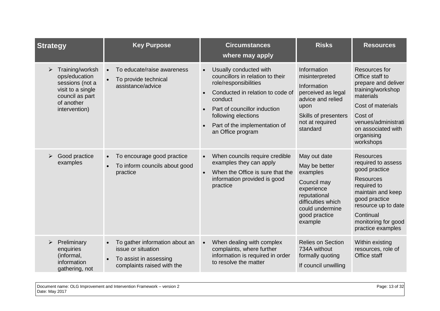| <b>Strategy</b>                                                                                                                 | <b>Key Purpose</b>                                                                                           | <b>Circumstances</b><br>where may apply                                                                                                                                                                                                                      | <b>Risks</b>                                                                                                                                                | <b>Resources</b>                                                                                                                                                                                                 |
|---------------------------------------------------------------------------------------------------------------------------------|--------------------------------------------------------------------------------------------------------------|--------------------------------------------------------------------------------------------------------------------------------------------------------------------------------------------------------------------------------------------------------------|-------------------------------------------------------------------------------------------------------------------------------------------------------------|------------------------------------------------------------------------------------------------------------------------------------------------------------------------------------------------------------------|
| Training/worksh<br>➤<br>ops/education<br>sessions (not a<br>visit to a single<br>council as part<br>of another<br>intervention) | To educate/raise awareness<br>To provide technical<br>assistance/advice                                      | Usually conducted with<br>$\bullet$<br>councillors in relation to their<br>role/responsibilities<br>Conducted in relation to code of<br>conduct<br>Part of councillor induction<br>following elections<br>Part of the implementation of<br>an Office program | Information<br>misinterpreted<br>Information<br>perceived as legal<br>advice and relied<br>upon<br>Skills of presenters<br>not at required<br>standard      | Resources for<br>Office staff to<br>prepare and deliver<br>training/workshop<br>materials<br>Cost of materials<br>Cost of<br>venues/administrati<br>on associated with<br>organising<br>workshops                |
| Good practice<br>examples                                                                                                       | To encourage good practice<br>$\bullet$<br>To inform councils about good<br>practice                         | When councils require credible<br>$\bullet$<br>examples they can apply<br>When the Office is sure that the<br>$\bullet$<br>information provided is good<br>practice                                                                                          | May out date<br>May be better<br>examples<br>Council may<br>experience<br>reputational<br>difficulties which<br>could undermine<br>good practice<br>example | <b>Resources</b><br>required to assess<br>good practice<br><b>Resources</b><br>required to<br>maintain and keep<br>good practice<br>resource up to date<br>Continual<br>monitoring for good<br>practice examples |
| Preliminary<br>➤<br>enquiries<br>(informal,<br>information<br>gathering, not                                                    | To gather information about an<br>issue or situation<br>To assist in assessing<br>complaints raised with the | When dealing with complex<br>$\bullet$<br>complaints, where further<br>information is required in order<br>to resolve the matter                                                                                                                             | <b>Relies on Section</b><br>734A without<br>formally quoting<br>If council unwilling                                                                        | Within existing<br>resources, role of<br>Office staff                                                                                                                                                            |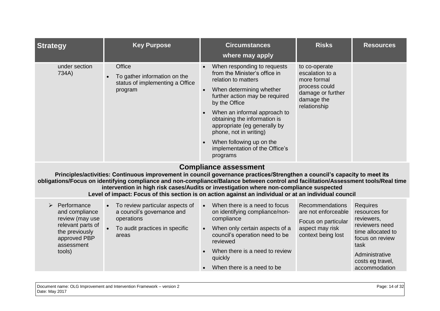| Office<br>When responding to requests<br>under section<br>to co-operate<br>from the Minister's office in<br>escalation to a<br>734A)<br>To gather information on the<br>relation to matters<br>more formal<br>status of implementing a Office<br>process could<br>When determining whether<br>program<br>damage or further<br>further action may be required<br>damage the<br>by the Office<br>relationship<br>When an informal approach to<br>obtaining the information is<br>appropriate (eg generally by<br>phone, not in writing)<br>When following up on the | <b>Strategy</b> | <b>Key Purpose</b> | <b>Circumstances</b><br>where may apply | <b>Risks</b> | <b>Resources</b> |
|-------------------------------------------------------------------------------------------------------------------------------------------------------------------------------------------------------------------------------------------------------------------------------------------------------------------------------------------------------------------------------------------------------------------------------------------------------------------------------------------------------------------------------------------------------------------|-----------------|--------------------|-----------------------------------------|--------------|------------------|
| programs                                                                                                                                                                                                                                                                                                                                                                                                                                                                                                                                                          |                 |                    | implementation of the Office's          |              |                  |

#### **Compliance assessment**

**Principles/activities: Continuous improvement in council governance practices/Strengthen a council's capacity to meet its obligations/Focus on identifying compliance and non-compliance/Balance between control and facilitation/Assessment tools/Real time intervention in high risk cases/Audits or investigation where non-compliance suspected Level of impact: Focus of this section is on action against an individual or at an individual council**

| ➤ | Performance<br>and compliance<br>review (may use<br>relevant parts of<br>the previously<br>approved PBP<br>assessment<br>tools) |           | • To review particular aspects of<br>$\bullet$<br>a council's governance and<br>compliance<br>operations<br>To audit practices in specific<br>$\bullet$<br>areas<br>reviewed | When there is a need to focus<br>on identifying compliance/non- | <b>Recommendations</b><br>are not enforceable<br>Focus on particular | <b>Requires</b><br>resources for<br>reviewers, |
|---|---------------------------------------------------------------------------------------------------------------------------------|-----------|------------------------------------------------------------------------------------------------------------------------------------------------------------------------------|-----------------------------------------------------------------|----------------------------------------------------------------------|------------------------------------------------|
|   |                                                                                                                                 | $\bullet$ |                                                                                                                                                                              |                                                                 | When only certain aspects of a<br>council's operation need to be     | aspect may risk<br>context being lost          |
|   |                                                                                                                                 |           | $\bullet$                                                                                                                                                                    | When there is a need to review<br>quickly                       |                                                                      | Administrative<br>costs eg travel,             |
|   |                                                                                                                                 |           |                                                                                                                                                                              | $\bullet$                                                       | When there is a need to be                                           |                                                |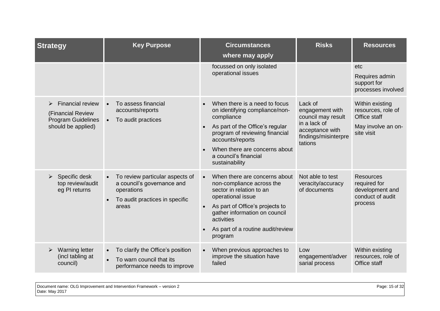| <b>Strategy</b>                                                                                      | <b>Key Purpose</b>                                                                                                     | <b>Circumstances</b><br>where may apply                                                                                                                                                                                                                    | <b>Risks</b>                                                                                                           | <b>Resources</b>                                                                          |
|------------------------------------------------------------------------------------------------------|------------------------------------------------------------------------------------------------------------------------|------------------------------------------------------------------------------------------------------------------------------------------------------------------------------------------------------------------------------------------------------------|------------------------------------------------------------------------------------------------------------------------|-------------------------------------------------------------------------------------------|
|                                                                                                      |                                                                                                                        | focussed on only isolated<br>operational issues                                                                                                                                                                                                            |                                                                                                                        | etc<br>Requires admin<br>support for<br>processes involved                                |
| <b>Financial review</b><br>⋗<br>(Financial Review<br><b>Program Guidelines</b><br>should be applied) | To assess financial<br>accounts/reports<br>To audit practices                                                          | When there is a need to focus<br>on identifying compliance/non-<br>compliance<br>As part of the Office's regular<br>program of reviewing financial<br>accounts/reports<br>When there are concerns about<br>a council's financial<br>sustainability         | Lack of<br>engagement with<br>council may result<br>in a lack of<br>acceptance with<br>findings/misinterpre<br>tations | Within existing<br>resources, role of<br>Office staff<br>May involve an on-<br>site visit |
| Specific desk<br>➤<br>top review/audit<br>eg PI returns                                              | To review particular aspects of<br>a council's governance and<br>operations<br>To audit practices in specific<br>areas | When there are concerns about<br>$\bullet$<br>non-compliance across the<br>sector in relation to an<br>operational issue<br>As part of Office's projects to<br>gather information on council<br>activities<br>As part of a routine audit/review<br>program | Not able to test<br>veracity/accuracy<br>of documents                                                                  | <b>Resources</b><br>required for<br>development and<br>conduct of audit<br>process        |
| <b>Warning letter</b><br>(incl tabling at<br>council)                                                | To clarify the Office's position<br>$\bullet$<br>To warn council that its<br>performance needs to improve              | When previous approaches to<br>$\bullet$<br>improve the situation have<br>failed                                                                                                                                                                           | Low<br>engagement/adver<br>sarial process                                                                              | Within existing<br>resources, role of<br>Office staff                                     |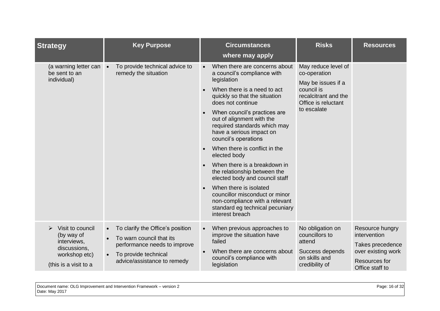| <b>Strategy</b>                                                                                         | <b>Key Purpose</b>                                                                                                                                                            | <b>Circumstances</b><br>where may apply                                                                                                                                                                                                                                                                                                                                                                                                                                                                                                                                                                                  | <b>Risks</b>                                                                                                                          | <b>Resources</b>                                                                                                     |
|---------------------------------------------------------------------------------------------------------|-------------------------------------------------------------------------------------------------------------------------------------------------------------------------------|--------------------------------------------------------------------------------------------------------------------------------------------------------------------------------------------------------------------------------------------------------------------------------------------------------------------------------------------------------------------------------------------------------------------------------------------------------------------------------------------------------------------------------------------------------------------------------------------------------------------------|---------------------------------------------------------------------------------------------------------------------------------------|----------------------------------------------------------------------------------------------------------------------|
| (a warning letter can •<br>be sent to an<br>individual)                                                 | To provide technical advice to<br>remedy the situation                                                                                                                        | When there are concerns about<br>a council's compliance with<br>legislation<br>When there is a need to act<br>quickly so that the situation<br>does not continue<br>When council's practices are<br>out of alignment with the<br>required standards which may<br>have a serious impact on<br>council's operations<br>When there is conflict in the<br>elected body<br>When there is a breakdown in<br>the relationship between the<br>elected body and council staff<br>When there is isolated<br>councillor misconduct or minor<br>non-compliance with a relevant<br>standard eg technical pecuniary<br>interest breach | May reduce level of<br>co-operation<br>May be issues if a<br>council is<br>recalcitrant and the<br>Office is reluctant<br>to escalate |                                                                                                                      |
| Visit to council<br>(by way of<br>interviews,<br>discussions,<br>workshop etc)<br>(this is a visit to a | To clarify the Office's position<br>$\bullet$<br>To warn council that its<br>performance needs to improve<br>To provide technical<br>$\bullet$<br>advice/assistance to remedy | When previous approaches to<br>$\bullet$<br>improve the situation have<br>failed<br>When there are concerns about<br>council's compliance with<br>legislation                                                                                                                                                                                                                                                                                                                                                                                                                                                            | No obligation on<br>councillors to<br>attend<br>Success depends<br>on skills and<br>credibility of                                    | Resource hungry<br>intervention<br>Takes precedence<br>over existing work<br><b>Resources for</b><br>Office staff to |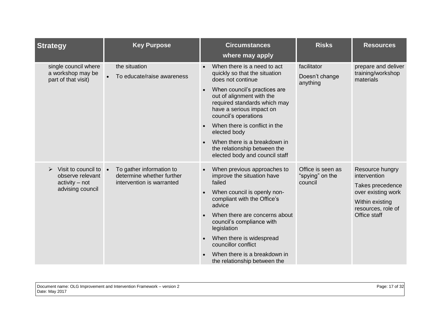| <b>Strategy</b>                                                                                                    | <b>Key Purpose</b>                                                                 | <b>Circumstances</b><br>where may apply                                                                                                                                                                                                                                                                                                                                                            | <b>Risks</b>                                    | <b>Resources</b>                                                                                                                   |
|--------------------------------------------------------------------------------------------------------------------|------------------------------------------------------------------------------------|----------------------------------------------------------------------------------------------------------------------------------------------------------------------------------------------------------------------------------------------------------------------------------------------------------------------------------------------------------------------------------------------------|-------------------------------------------------|------------------------------------------------------------------------------------------------------------------------------------|
| single council where<br>a workshop may be<br>part of that visit)                                                   | the situation<br>To educate/raise awareness                                        | When there is a need to act<br>quickly so that the situation<br>does not continue<br>When council's practices are<br>$\bullet$<br>out of alignment with the<br>required standards which may<br>have a serious impact on<br>council's operations<br>When there is conflict in the<br>elected body<br>When there is a breakdown in<br>the relationship between the<br>elected body and council staff | facilitator<br>Doesn't change<br>anything       | prepare and deliver<br>training/workshop<br>materials                                                                              |
| Visit to council to $\bullet$<br>$\blacktriangleright$<br>observe relevant<br>$activity - not$<br>advising council | To gather information to<br>determine whether further<br>intervention is warranted | When previous approaches to<br>improve the situation have<br>failed<br>When council is openly non-<br>compliant with the Office's<br>advice<br>When there are concerns about<br>council's compliance with<br>legislation<br>When there is widespread<br>councillor conflict<br>When there is a breakdown in<br>the relationship between the                                                        | Office is seen as<br>"spying" on the<br>council | Resource hungry<br>intervention<br>Takes precedence<br>over existing work<br>Within existing<br>resources, role of<br>Office staff |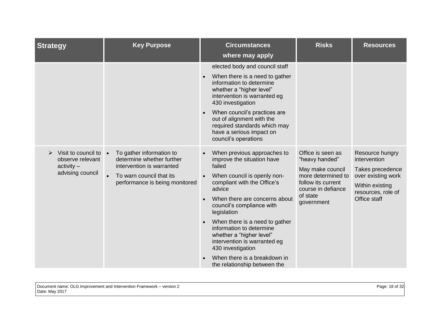| <b>Strategy</b>                                                                                                  | <b>Key Purpose</b>                                                                                                                               | <b>Circumstances</b><br>where may apply                                                                                                                                                                                                                                                                                                                                                                                                              | <b>Risks</b>                                                                                                                                        | <b>Resources</b>                                                                                                                   |
|------------------------------------------------------------------------------------------------------------------|--------------------------------------------------------------------------------------------------------------------------------------------------|------------------------------------------------------------------------------------------------------------------------------------------------------------------------------------------------------------------------------------------------------------------------------------------------------------------------------------------------------------------------------------------------------------------------------------------------------|-----------------------------------------------------------------------------------------------------------------------------------------------------|------------------------------------------------------------------------------------------------------------------------------------|
|                                                                                                                  |                                                                                                                                                  | elected body and council staff<br>When there is a need to gather<br>information to determine<br>whether a "higher level"<br>intervention is warranted eg<br>430 investigation<br>When council's practices are<br>out of alignment with the<br>required standards which may<br>have a serious impact on<br>council's operations                                                                                                                       |                                                                                                                                                     |                                                                                                                                    |
| Visit to council to $\bullet$<br>$\blacktriangleright$<br>observe relevant<br>$\arctivity -$<br>advising council | To gather information to<br>determine whether further<br>intervention is warranted<br>To warn council that its<br>performance is being monitored | When previous approaches to<br>improve the situation have<br>failed<br>When council is openly non-<br>compliant with the Office's<br>advice<br>When there are concerns about<br>council's compliance with<br>legislation<br>When there is a need to gather<br>$\bullet$<br>information to determine<br>whether a "higher level"<br>intervention is warranted eg<br>430 investigation<br>When there is a breakdown in<br>the relationship between the | Office is seen as<br>"heavy handed"<br>May make council<br>more determined to<br>follow its current<br>course in defiance<br>of state<br>government | Resource hungry<br>intervention<br>Takes precedence<br>over existing work<br>Within existing<br>resources, role of<br>Office staff |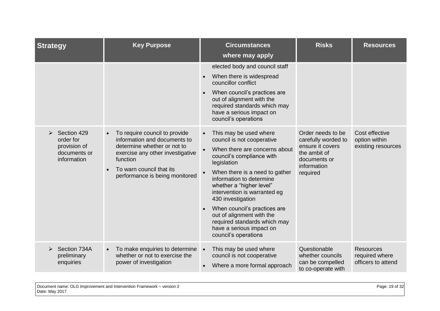| <b>Strategy</b>                                          | <b>Key Purpose</b>                                                                                                               | <b>Circumstances</b><br>where may apply                                                                                                                                                                                                                                                                                                                                            | <b>Risks</b>                                                                 | <b>Resources</b>                                         |
|----------------------------------------------------------|----------------------------------------------------------------------------------------------------------------------------------|------------------------------------------------------------------------------------------------------------------------------------------------------------------------------------------------------------------------------------------------------------------------------------------------------------------------------------------------------------------------------------|------------------------------------------------------------------------------|----------------------------------------------------------|
| Section 429<br>order for<br>provision of<br>documents or | To require council to provide<br>information and documents to<br>determine whether or not to<br>exercise any other investigative | elected body and council staff<br>When there is widespread<br>councillor conflict<br>When council's practices are<br>out of alignment with the<br>required standards which may<br>have a serious impact on<br>council's operations<br>This may be used where<br>$\bullet$<br>council is not cooperative<br>When there are concerns about<br>$\bullet$<br>council's compliance with | Order needs to be<br>carefully worded to<br>ensure it covers<br>the ambit of | Cost effective<br>option within<br>existing resources    |
| information                                              | function<br>To warn council that its<br>performance is being monitored                                                           | legislation<br>When there is a need to gather<br>information to determine<br>whether a "higher level"<br>intervention is warranted eg<br>430 investigation<br>When council's practices are<br>out of alignment with the<br>required standards which may<br>have a serious impact on<br>council's operations                                                                        | documents or<br>information<br>required                                      |                                                          |
| Section 734A<br>preliminary<br>enquiries                 | To make enquiries to determine<br>$\bullet$<br>whether or not to exercise the<br>power of investigation                          | This may be used where<br>$\bullet$<br>council is not cooperative<br>Where a more formal approach<br>$\bullet$                                                                                                                                                                                                                                                                     | Questionable<br>whether councils<br>can be compelled<br>to co-operate with   | <b>Resources</b><br>required where<br>officers to attend |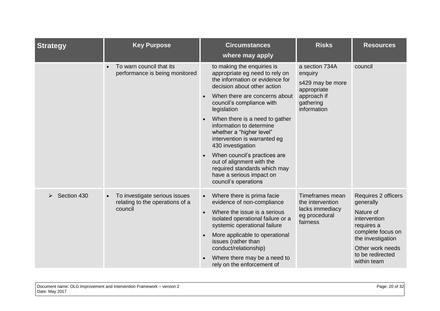| <b>Strategy</b> | <b>Key Purpose</b>                                                          | <b>Circumstances</b><br>where may apply                                                                                                                                                                                                                                                                                                                                                                                                                                                                     | <b>Risks</b>                                                                                            | <b>Resources</b>                                                                                                                                                             |
|-----------------|-----------------------------------------------------------------------------|-------------------------------------------------------------------------------------------------------------------------------------------------------------------------------------------------------------------------------------------------------------------------------------------------------------------------------------------------------------------------------------------------------------------------------------------------------------------------------------------------------------|---------------------------------------------------------------------------------------------------------|------------------------------------------------------------------------------------------------------------------------------------------------------------------------------|
|                 | To warn council that its<br>performance is being monitored                  | to making the enquiries is<br>appropriate eg need to rely on<br>the information or evidence for<br>decision about other action<br>When there are concerns about<br>council's compliance with<br>legislation<br>When there is a need to gather<br>information to determine<br>whether a "higher level"<br>intervention is warranted eg<br>430 investigation<br>When council's practices are<br>out of alignment with the<br>required standards which may<br>have a serious impact on<br>council's operations | a section 734A<br>enquiry<br>s429 may be more<br>appropriate<br>approach if<br>gathering<br>information | council                                                                                                                                                                      |
| Section 430     | To investigate serious issues<br>relating to the operations of a<br>council | Where there is prima facie<br>$\bullet$<br>evidence of non-compliance<br>Where the issue is a serious<br>$\bullet$<br>isolated operational failure or a<br>systemic operational failure<br>More applicable to operational<br>issues (rather than<br>conduct/relationship)<br>Where there may be a need to<br>rely on the enforcement of                                                                                                                                                                     | Timeframes mean<br>the intervention<br>lacks immediacy<br>eg procedural<br>fairness                     | Requires 2 officers<br>generally<br>Nature of<br>intervention<br>requires a<br>complete focus on<br>the investigation<br>Other work needs<br>to be redirected<br>within team |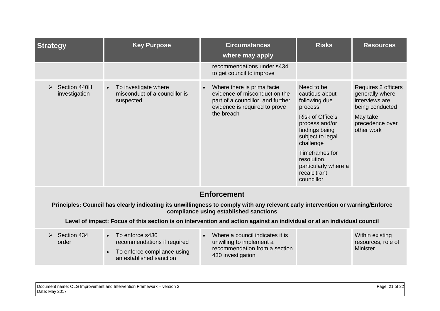| <b>Strategy</b>               | <b>Key Purpose</b>                                                                                                                 | <b>Circumstances</b><br>where may apply                                                                                                         | <b>Risks</b>                                                                                                                                                                                                                             | <b>Resources</b>                                                                                                                |
|-------------------------------|------------------------------------------------------------------------------------------------------------------------------------|-------------------------------------------------------------------------------------------------------------------------------------------------|------------------------------------------------------------------------------------------------------------------------------------------------------------------------------------------------------------------------------------------|---------------------------------------------------------------------------------------------------------------------------------|
|                               |                                                                                                                                    | recommendations under s434<br>to get council to improve                                                                                         |                                                                                                                                                                                                                                          |                                                                                                                                 |
| Section 440H<br>investigation | To investigate where<br>$\bullet$<br>misconduct of a councillor is<br>suspected                                                    | Where there is prima facie<br>evidence of misconduct on the<br>part of a councillor, and further<br>evidence is required to prove<br>the breach | Need to be<br>cautious about<br>following due<br>process<br>Risk of Office's<br>process and/or<br>findings being<br>subject to legal<br>challenge<br>Timeframes for<br>resolution,<br>particularly where a<br>recalcitrant<br>councillor | <b>Requires 2 officers</b><br>generally where<br>interviews are<br>being conducted<br>May take<br>precedence over<br>other work |
|                               |                                                                                                                                    | <b>Enforcement</b>                                                                                                                              |                                                                                                                                                                                                                                          |                                                                                                                                 |
|                               | Principles: Council has clearly indicating its unwillingness to comply with any relevant early intervention or warning/Enforce     | compliance using established sanctions                                                                                                          |                                                                                                                                                                                                                                          |                                                                                                                                 |
|                               | Level of impact: Focus of this section is on intervention and action against an individual or at an individual council             |                                                                                                                                                 |                                                                                                                                                                                                                                          |                                                                                                                                 |
| Section 434<br>order          | To enforce s430<br>$\bullet$<br>recommendations if required<br>To enforce compliance using<br>$\bullet$<br>an established sanction | Where a council indicates it is<br>unwilling to implement a<br>recommendation from a section<br>430 investigation                               |                                                                                                                                                                                                                                          | Within existing<br>resources, role of<br><b>Minister</b>                                                                        |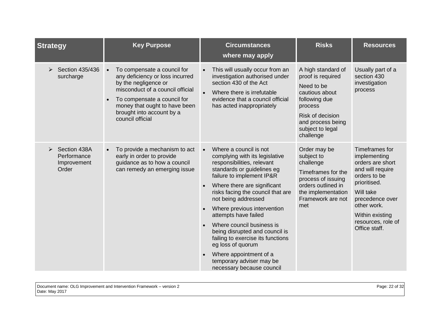| <b>Strategy</b>                                          | <b>Key Purpose</b>                                                                                                                                                                                                                          | <b>Circumstances</b><br>where may apply                                                                                                                                                                                                                                                                                                                                                                                                                                                                                      | <b>Risks</b>                                                                                                                                                                  | <b>Resources</b>                                                                                                                                                                                                |
|----------------------------------------------------------|---------------------------------------------------------------------------------------------------------------------------------------------------------------------------------------------------------------------------------------------|------------------------------------------------------------------------------------------------------------------------------------------------------------------------------------------------------------------------------------------------------------------------------------------------------------------------------------------------------------------------------------------------------------------------------------------------------------------------------------------------------------------------------|-------------------------------------------------------------------------------------------------------------------------------------------------------------------------------|-----------------------------------------------------------------------------------------------------------------------------------------------------------------------------------------------------------------|
| Section 435/436<br>➤<br>surcharge                        | To compensate a council for<br>any deficiency or loss incurred<br>by the negligence or<br>misconduct of a council official<br>To compensate a council for<br>money that ought to have been<br>brought into account by a<br>council official | This will usually occur from an<br>$\bullet$<br>investigation authorised under<br>section 430 of the Act<br>$\bullet$<br>Where there is irrefutable<br>evidence that a council official<br>has acted inappropriately                                                                                                                                                                                                                                                                                                         | A high standard of<br>proof is required<br>Need to be<br>cautious about<br>following due<br>process<br>Risk of decision<br>and process being<br>subject to legal<br>challenge | Usually part of a<br>section 430<br>investigation<br>process                                                                                                                                                    |
| Section 438A<br>➤<br>Performance<br>Improvement<br>Order | To provide a mechanism to act<br>early in order to provide<br>guidance as to how a council<br>can remedy an emerging issue                                                                                                                  | Where a council is not<br>$\bullet$<br>complying with its legislative<br>responsibilities, relevant<br>standards or guidelines eg<br>failure to implement IP&R<br>Where there are significant<br>risks facing the council that are<br>not being addressed<br>Where previous intervention<br>attempts have failed<br>Where council business is<br>being disrupted and council is<br>failing to exercise its functions<br>eg loss of quorum<br>Where appointment of a<br>temporary adviser may be<br>necessary because council | Order may be<br>subject to<br>challenge<br>Timeframes for the<br>process of issuing<br>orders outlined in<br>the implementation<br>Framework are not<br>met                   | Timeframes for<br>implementing<br>orders are short<br>and will require<br>orders to be<br>prioritised.<br>Will take<br>precedence over<br>other work.<br>Within existing<br>resources, role of<br>Office staff. |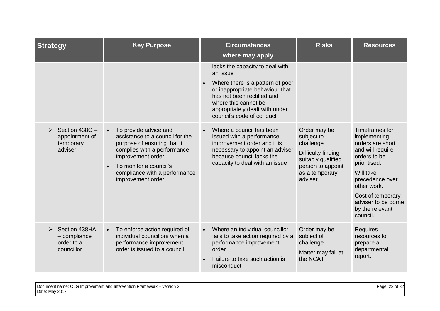| <b>Strategy</b>                                             | <b>Key Purpose</b>                                                                                                                                                                                                          | <b>Circumstances</b><br>where may apply                                                                                                                                                                                                 | <b>Risks</b>                                                                                                                          | <b>Resources</b>                                                                                                                                                                                                                 |
|-------------------------------------------------------------|-----------------------------------------------------------------------------------------------------------------------------------------------------------------------------------------------------------------------------|-----------------------------------------------------------------------------------------------------------------------------------------------------------------------------------------------------------------------------------------|---------------------------------------------------------------------------------------------------------------------------------------|----------------------------------------------------------------------------------------------------------------------------------------------------------------------------------------------------------------------------------|
|                                                             |                                                                                                                                                                                                                             | lacks the capacity to deal with<br>an issue<br>Where there is a pattern of poor<br>or inappropriate behaviour that<br>has not been rectified and<br>where this cannot be<br>appropriately dealt with under<br>council's code of conduct |                                                                                                                                       |                                                                                                                                                                                                                                  |
| Section 438G -<br>appointment of<br>temporary<br>adviser    | To provide advice and<br>assistance to a council for the<br>purpose of ensuring that it<br>complies with a performance<br>improvement order<br>To monitor a council's<br>compliance with a performance<br>improvement order | Where a council has been<br>$\bullet$<br>issued with a performance<br>improvement order and it is<br>necessary to appoint an adviser<br>because council lacks the<br>capacity to deal with an issue                                     | Order may be<br>subject to<br>challenge<br>Difficulty finding<br>suitably qualified<br>person to appoint<br>as a temporary<br>adviser | Timeframes for<br>implementing<br>orders are short<br>and will require<br>orders to be<br>prioritised.<br>Will take<br>precedence over<br>other work.<br>Cost of temporary<br>adviser to be borne<br>by the relevant<br>council. |
| Section 438HA<br>$-$ compliance<br>order to a<br>councillor | To enforce action required of<br>$\bullet$<br>individual councillors when a<br>performance improvement<br>order is issued to a council                                                                                      | Where an individual councillor<br>$\bullet$<br>fails to take action required by a<br>performance improvement<br>order<br>Failure to take such action is<br>misconduct                                                                   | Order may be<br>subject of<br>challenge<br>Matter may fail at<br>the NCAT                                                             | <b>Requires</b><br>resources to<br>prepare a<br>departmental<br>report.                                                                                                                                                          |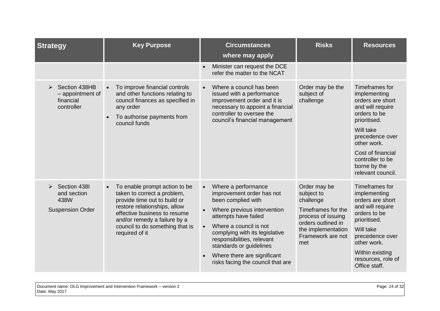| <b>Strategy</b>                                                | <b>Key Purpose</b>                                                                                                                                                                                                                                | <b>Circumstances</b><br>where may apply                                                                                                                                                                                                                                                                                                          | <b>Risks</b>                                                                                                                                                | <b>Resources</b>                                                                                                                                                                                                                    |
|----------------------------------------------------------------|---------------------------------------------------------------------------------------------------------------------------------------------------------------------------------------------------------------------------------------------------|--------------------------------------------------------------------------------------------------------------------------------------------------------------------------------------------------------------------------------------------------------------------------------------------------------------------------------------------------|-------------------------------------------------------------------------------------------------------------------------------------------------------------|-------------------------------------------------------------------------------------------------------------------------------------------------------------------------------------------------------------------------------------|
|                                                                |                                                                                                                                                                                                                                                   | Minister can request the DCE<br>refer the matter to the NCAT                                                                                                                                                                                                                                                                                     |                                                                                                                                                             |                                                                                                                                                                                                                                     |
| Section 438HB<br>- appointment of<br>financial<br>controller   | To improve financial controls<br>and other functions relating to<br>council finances as specified in<br>any order<br>To authorise payments from<br>council funds                                                                                  | Where a council has been<br>$\bullet$<br>issued with a performance<br>improvement order and it is<br>necessary to appoint a financial<br>controller to oversee the<br>council's financial management                                                                                                                                             | Order may be the<br>subject of<br>challenge                                                                                                                 | Timeframes for<br>implementing<br>orders are short<br>and will require<br>orders to be<br>prioritised.<br>Will take<br>precedence over<br>other work.<br>Cost of financial<br>controller to be<br>borne by the<br>relevant council. |
| Section 438I<br>and section<br>438W<br><b>Suspension Order</b> | To enable prompt action to be<br>taken to correct a problem,<br>provide time out to build or<br>restore relationships, allow<br>effective business to resume<br>and/or remedy a failure by a<br>council to do something that is<br>required of it | Where a performance<br>$\bullet$<br>improvement order has not<br>been complied with<br>Where previous intervention<br>attempts have failed<br>Where a council is not<br>$\bullet$<br>complying with its legislative<br>responsibilities, relevant<br>standards or guidelines<br>Where there are significant<br>risks facing the council that are | Order may be<br>subject to<br>challenge<br>Timeframes for the<br>process of issuing<br>orders outlined in<br>the implementation<br>Framework are not<br>met | Timeframes for<br>implementing<br>orders are short<br>and will require<br>orders to be<br>prioritised.<br>Will take<br>precedence over<br>other work.<br>Within existing<br>resources, role of<br>Office staff.                     |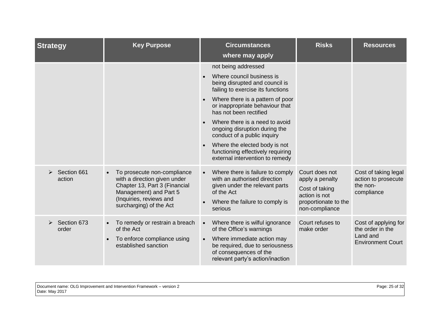| <b>Strategy</b>       | <b>Key Purpose</b>                                                                                                                                                           | <b>Circumstances</b><br>where may apply                                                                                                                                                                                                                                                                                                                                                                                             | <b>Risks</b>                                                                                                   | <b>Resources</b>                                                                 |
|-----------------------|------------------------------------------------------------------------------------------------------------------------------------------------------------------------------|-------------------------------------------------------------------------------------------------------------------------------------------------------------------------------------------------------------------------------------------------------------------------------------------------------------------------------------------------------------------------------------------------------------------------------------|----------------------------------------------------------------------------------------------------------------|----------------------------------------------------------------------------------|
|                       |                                                                                                                                                                              | not being addressed<br>Where council business is<br>being disrupted and council is<br>failing to exercise its functions<br>Where there is a pattern of poor<br>or inappropriate behaviour that<br>has not been rectified<br>Where there is a need to avoid<br>ongoing disruption during the<br>conduct of a public inquiry<br>Where the elected body is not<br>functioning effectively requiring<br>external intervention to remedy |                                                                                                                |                                                                                  |
| Section 661<br>action | To prosecute non-compliance<br>with a direction given under<br>Chapter 13, Part 3 (Financial<br>Management) and Part 5<br>(Inquiries, reviews and<br>surcharging) of the Act | Where there is failure to comply<br>$\bullet$<br>with an authorised direction<br>given under the relevant parts<br>of the Act<br>Where the failure to comply is<br>serious                                                                                                                                                                                                                                                          | Court does not<br>apply a penalty<br>Cost of taking<br>action is not<br>proportionate to the<br>non-compliance | Cost of taking legal<br>action to prosecute<br>the non-<br>compliance            |
| Section 673<br>order  | To remedy or restrain a breach<br>of the Act<br>To enforce compliance using<br>established sanction                                                                          | Where there is wilful ignorance<br>$\bullet$<br>of the Office's warnings<br>Where immediate action may<br>$\bullet$<br>be required, due to seriousness<br>of consequences of the<br>relevant party's action/inaction                                                                                                                                                                                                                | Court refuses to<br>make order                                                                                 | Cost of applying for<br>the order in the<br>Land and<br><b>Environment Court</b> |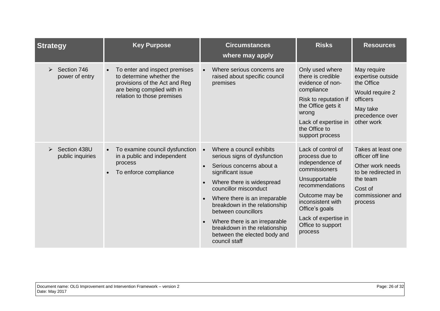| <b>Strategy</b>                    | <b>Key Purpose</b>                                                                                                                                     | <b>Circumstances</b><br>where may apply                                                                                                                                                                                                                                                                                                                                                  | <b>Risks</b>                                                                                                                                                                                                                  | <b>Resources</b>                                                                                                                        |
|------------------------------------|--------------------------------------------------------------------------------------------------------------------------------------------------------|------------------------------------------------------------------------------------------------------------------------------------------------------------------------------------------------------------------------------------------------------------------------------------------------------------------------------------------------------------------------------------------|-------------------------------------------------------------------------------------------------------------------------------------------------------------------------------------------------------------------------------|-----------------------------------------------------------------------------------------------------------------------------------------|
| Section 746<br>➤<br>power of entry | To enter and inspect premises<br>to determine whether the<br>provisions of the Act and Reg<br>are being complied with in<br>relation to those premises | Where serious concerns are<br>raised about specific council<br>premises                                                                                                                                                                                                                                                                                                                  | Only used where<br>there is credible<br>evidence of non-<br>compliance<br>Risk to reputation if<br>the Office gets it<br>wrong<br>Lack of expertise in<br>the Office to<br>support process                                    | May require<br>expertise outside<br>the Office<br>Would require 2<br>officers<br>May take<br>precedence over<br>other work              |
| Section 438U<br>public inquiries   | To examine council dysfunction<br>in a public and independent<br>process<br>To enforce compliance                                                      | Where a council exhibits<br>$\bullet$<br>serious signs of dysfunction<br>Serious concerns about a<br>significant issue<br>Where there is widespread<br>councillor misconduct<br>Where there is an irreparable<br>breakdown in the relationship<br>between councillors<br>Where there is an irreparable<br>breakdown in the relationship<br>between the elected body and<br>council staff | Lack of control of<br>process due to<br>independence of<br>commissioners<br>Unsupportable<br>recommendations<br>Outcome may be<br>inconsistent with<br>Office's goals<br>Lack of expertise in<br>Office to support<br>process | Takes at least one<br>officer off line<br>Other work needs<br>to be redirected in<br>the team<br>Cost of<br>commissioner and<br>process |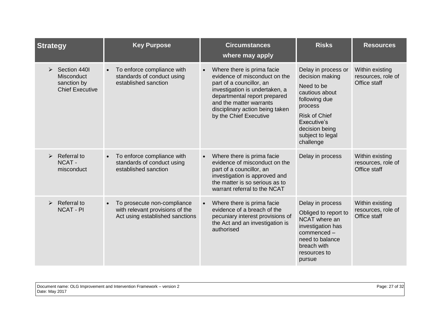| <b>Strategy</b>                                                                 | <b>Key Purpose</b>                                                                                | <b>Circumstances</b><br>where may apply                                                                                                                                                                                                                        | <b>Risks</b>                                                                                                                                                                                 | <b>Resources</b>                                      |
|---------------------------------------------------------------------------------|---------------------------------------------------------------------------------------------------|----------------------------------------------------------------------------------------------------------------------------------------------------------------------------------------------------------------------------------------------------------------|----------------------------------------------------------------------------------------------------------------------------------------------------------------------------------------------|-------------------------------------------------------|
| Section 4401<br>➤<br><b>Misconduct</b><br>sanction by<br><b>Chief Executive</b> | To enforce compliance with<br>$\bullet$<br>standards of conduct using<br>established sanction     | Where there is prima facie<br>$\bullet$<br>evidence of misconduct on the<br>part of a councillor, an<br>investigation is undertaken, a<br>departmental report prepared<br>and the matter warrants<br>disciplinary action being taken<br>by the Chief Executive | Delay in process or<br>decision making<br>Need to be<br>cautious about<br>following due<br>process<br><b>Risk of Chief</b><br>Executive's<br>decision being<br>subject to legal<br>challenge | Within existing<br>resources, role of<br>Office staff |
| Referral to<br>NCAT-<br>misconduct                                              | To enforce compliance with<br>standards of conduct using<br>established sanction                  | Where there is prima facie<br>$\bullet$<br>evidence of misconduct on the<br>part of a councillor, an<br>investigation is approved and<br>the matter is so serious as to<br>warrant referral to the NCAT                                                        | Delay in process                                                                                                                                                                             | Within existing<br>resources, role of<br>Office staff |
| Referral to<br>$\blacktriangleright$<br><b>NCAT - PI</b>                        | To prosecute non-compliance<br>with relevant provisions of the<br>Act using established sanctions | Where there is prima facie<br>$\bullet$<br>evidence of a breach of the<br>pecuniary interest provisions of<br>the Act and an investigation is<br>authorised                                                                                                    | Delay in process<br>Obliged to report to<br>NCAT where an<br>investigation has<br>commenced -<br>need to balance<br>breach with<br>resources to<br>pursue                                    | Within existing<br>resources, role of<br>Office staff |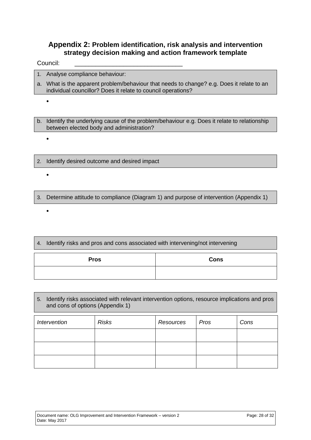#### <span id="page-27-0"></span>**Appendix 2: Problem identification, risk analysis and intervention strategy decision making and action framework template**

Council:

 $\bullet$ 

 $\bullet$ 

 $\bullet$ 

 $\bullet$ 

- 1. Analyse compliance behaviour:
- a. What is the apparent problem/behaviour that needs to change? e.g. Does it relate to an individual councillor? Does it relate to council operations?

b. Identify the underlying cause of the problem/behaviour e.g. Does it relate to relationship between elected body and administration?

- 2. Identify desired outcome and desired impact
- 3. Determine attitude to compliance (Diagram 1) and purpose of intervention (Appendix 1)
- 4. Identify risks and pros and cons associated with intervening/not intervening **Pros Cons**

#### 5. Identify risks associated with relevant intervention options, resource implications and pros and cons of options (Appendix 1)

| Intervention | <b>Risks</b> | Resources | Pros | Cons |
|--------------|--------------|-----------|------|------|
|              |              |           |      |      |
|              |              |           |      |      |
|              |              |           |      |      |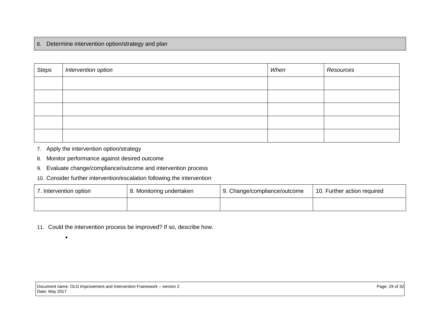#### 6. Determine intervention option/strategy and plan

| <b>Steps</b> | Intervention option | When | Resources |
|--------------|---------------------|------|-----------|
|              |                     |      |           |
|              |                     |      |           |
|              |                     |      |           |
|              |                     |      |           |
|              |                     |      |           |

7. Apply the intervention option/strategy

 $\bullet$ 

- 8. Monitor performance against desired outcome
- 9. Evaluate change/compliance/outcome and intervention process
- 10. Consider further intervention/escalation following the intervention

| 7. Intervention option | 8. Monitoring undertaken | 9. Change/compliance/outcome | 10. Further action required |  |
|------------------------|--------------------------|------------------------------|-----------------------------|--|
|                        |                          |                              |                             |  |

11. Could the intervention process be improved? If so, describe how.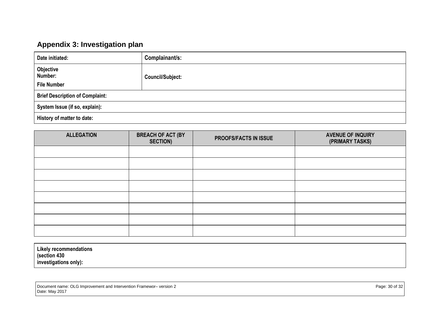## **Appendix 3: Investigation plan**

| Date initiated:                            | Complainant/s:          |  |
|--------------------------------------------|-------------------------|--|
| Objective<br>Number:<br><b>File Number</b> | <b>Council/Subject:</b> |  |
| <b>Brief Description of Complaint:</b>     |                         |  |
| System Issue (if so, explain):             |                         |  |
| History of matter to date:                 |                         |  |

<span id="page-29-0"></span>

| <b>ALLEGATION</b> | <b>BREACH OF ACT (BY</b><br><b>SECTION)</b> | PROOFS/FACTS IN ISSUE | <b>AVENUE OF INQUIRY</b><br>(PRIMARY TASKS) |
|-------------------|---------------------------------------------|-----------------------|---------------------------------------------|
|                   |                                             |                       |                                             |
|                   |                                             |                       |                                             |
|                   |                                             |                       |                                             |
|                   |                                             |                       |                                             |
|                   |                                             |                       |                                             |
|                   |                                             |                       |                                             |
|                   |                                             |                       |                                             |
|                   |                                             |                       |                                             |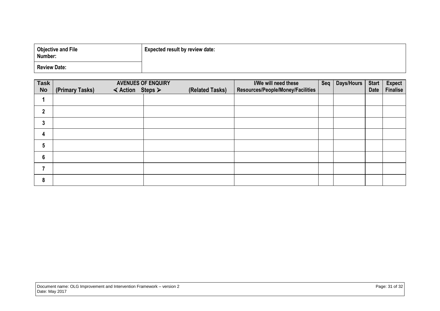| <b>Objective and File</b><br>Number: | <b>Expected result by review date:</b> |
|--------------------------------------|----------------------------------------|
| <b>Review Date:</b>                  |                                        |

| <b>Task</b>      | <b>AVENUES OF ENQUIRY</b>                                        | I/We will need these | Seq                               | <b>Days/Hours</b> | <b>Start</b> | <b>Expect</b> |                 |
|------------------|------------------------------------------------------------------|----------------------|-----------------------------------|-------------------|--------------|---------------|-----------------|
| <b>No</b>        | $\triangleleft$ Action Steps $\triangleright$<br>(Primary Tasks) | (Related Tasks)      | Resources/People/Money/Facilities |                   |              | <b>Date</b>   | <b>Finalise</b> |
|                  |                                                                  |                      |                                   |                   |              |               |                 |
| $\overline{2}$   |                                                                  |                      |                                   |                   |              |               |                 |
| 3                |                                                                  |                      |                                   |                   |              |               |                 |
| 4                |                                                                  |                      |                                   |                   |              |               |                 |
| $5\phantom{1}$   |                                                                  |                      |                                   |                   |              |               |                 |
| $\boldsymbol{6}$ |                                                                  |                      |                                   |                   |              |               |                 |
| 7                |                                                                  |                      |                                   |                   |              |               |                 |
| $\pmb{8}$        |                                                                  |                      |                                   |                   |              |               |                 |